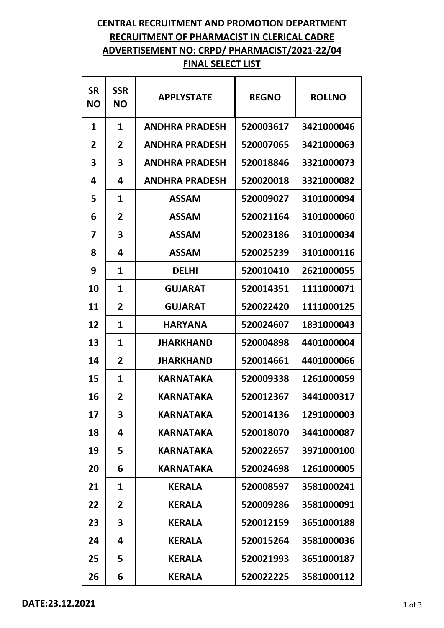## **CENTRAL RECRUITMENT AND PROMOTION DEPARTMENT RECRUITMENT OF PHARMACIST IN CLERICAL CADRE ADVERTISEMENT NO: CRPD/ PHARMACIST/2021-22/04 FINAL SELECT LIST**

| <b>SR</b><br><b>NO</b> | <b>SSR</b><br><b>NO</b> | <b>APPLYSTATE</b>     | <b>REGNO</b> | <b>ROLLNO</b> |
|------------------------|-------------------------|-----------------------|--------------|---------------|
| 1                      | 1                       | <b>ANDHRA PRADESH</b> | 520003617    | 3421000046    |
| 2                      | 2                       | <b>ANDHRA PRADESH</b> | 520007065    | 3421000063    |
| 3                      | 3                       | <b>ANDHRA PRADESH</b> | 520018846    | 3321000073    |
| 4                      | 4                       | <b>ANDHRA PRADESH</b> | 520020018    | 3321000082    |
| 5                      | 1                       | <b>ASSAM</b>          | 520009027    | 3101000094    |
| 6                      | 2                       | <b>ASSAM</b>          | 520021164    | 3101000060    |
| 7                      | 3                       | <b>ASSAM</b>          | 520023186    | 3101000034    |
| 8                      | 4                       | <b>ASSAM</b>          | 520025239    | 3101000116    |
| 9                      | 1                       | <b>DELHI</b>          | 520010410    | 2621000055    |
| 10                     | 1                       | <b>GUJARAT</b>        | 520014351    | 1111000071    |
| 11                     | 2                       | <b>GUJARAT</b>        | 520022420    | 1111000125    |
| 12                     | 1                       | <b>HARYANA</b>        | 520024607    | 1831000043    |
| 13                     | 1                       | <b>JHARKHAND</b>      | 520004898    | 4401000004    |
| 14                     | 2                       | <b>JHARKHAND</b>      | 520014661    | 4401000066    |
| 15                     | 1                       | <b>KARNATAKA</b>      | 520009338    | 1261000059    |
| 16                     | 2                       | <b>KARNATAKA</b>      | 520012367    | 3441000317    |
| 17                     | 3                       | <b>KARNATAKA</b>      | 520014136    | 1291000003    |
| 18                     | 4                       | <b>KARNATAKA</b>      | 520018070    | 3441000087    |
| 19                     | 5                       | <b>KARNATAKA</b>      | 520022657    | 3971000100    |
| 20                     | 6                       | <b>KARNATAKA</b>      | 520024698    | 1261000005    |
| 21                     | 1                       | <b>KERALA</b>         | 520008597    | 3581000241    |
| 22                     | 2                       | <b>KERALA</b>         | 520009286    | 3581000091    |
| 23                     | 3                       | <b>KERALA</b>         | 520012159    | 3651000188    |
| 24                     | 4                       | <b>KERALA</b>         | 520015264    | 3581000036    |
| 25                     | 5                       | <b>KERALA</b>         | 520021993    | 3651000187    |
| 26                     | 6                       | <b>KERALA</b>         | 520022225    | 3581000112    |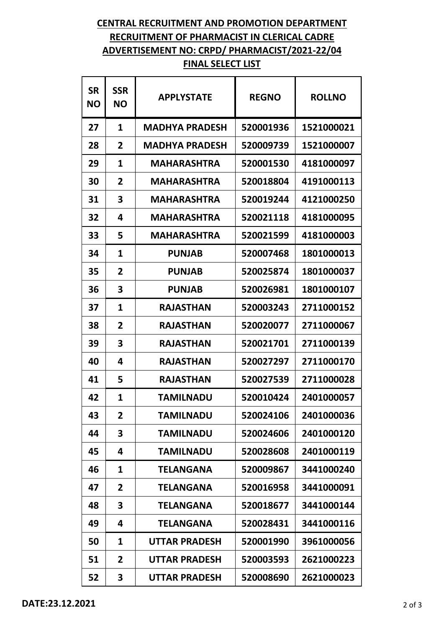## **CENTRAL RECRUITMENT AND PROMOTION DEPARTMENT RECRUITMENT OF PHARMACIST IN CLERICAL CADRE ADVERTISEMENT NO: CRPD/ PHARMACIST/2021-22/04 FINAL SELECT LIST**

| <b>SR</b><br><b>NO</b> | <b>SSR</b><br><b>NO</b> | <b>APPLYSTATE</b>     | <b>REGNO</b> | <b>ROLLNO</b> |
|------------------------|-------------------------|-----------------------|--------------|---------------|
| 27                     | 1                       | <b>MADHYA PRADESH</b> | 520001936    | 1521000021    |
| 28                     | 2                       | <b>MADHYA PRADESH</b> | 520009739    | 1521000007    |
| 29                     | 1                       | <b>MAHARASHTRA</b>    | 520001530    | 4181000097    |
| 30                     | 2                       | <b>MAHARASHTRA</b>    | 520018804    | 4191000113    |
| 31                     | 3                       | <b>MAHARASHTRA</b>    | 520019244    | 4121000250    |
| 32                     | 4                       | <b>MAHARASHTRA</b>    | 520021118    | 4181000095    |
| 33                     | 5                       | <b>MAHARASHTRA</b>    | 520021599    | 4181000003    |
| 34                     | 1                       | <b>PUNJAB</b>         | 520007468    | 1801000013    |
| 35                     | 2                       | <b>PUNJAB</b>         | 520025874    | 1801000037    |
| 36                     | 3                       | <b>PUNJAB</b>         | 520026981    | 1801000107    |
| 37                     | 1                       | <b>RAJASTHAN</b>      | 520003243    | 2711000152    |
| 38                     | $\overline{2}$          | <b>RAJASTHAN</b>      | 520020077    | 2711000067    |
| 39                     | 3                       | <b>RAJASTHAN</b>      | 520021701    | 2711000139    |
| 40                     | 4                       | <b>RAJASTHAN</b>      | 520027297    | 2711000170    |
| 41                     | 5                       | <b>RAJASTHAN</b>      | 520027539    | 2711000028    |
| 42                     | 1                       | <b>TAMILNADU</b>      | 520010424    | 2401000057    |
| 43                     | $\overline{2}$          | <b>TAMILNADU</b>      | 520024106    | 2401000036    |
| 44                     | 3                       | <b>TAMILNADU</b>      | 520024606    | 2401000120    |
| 45                     | 4                       | <b>TAMILNADU</b>      | 520028608    | 2401000119    |
| 46                     | 1                       | <b>TELANGANA</b>      | 520009867    | 3441000240    |
| 47                     | 2                       | <b>TELANGANA</b>      | 520016958    | 3441000091    |
| 48                     | 3                       | <b>TELANGANA</b>      | 520018677    | 3441000144    |
| 49                     | 4                       | <b>TELANGANA</b>      | 520028431    | 3441000116    |
| 50                     | 1                       | <b>UTTAR PRADESH</b>  | 520001990    | 3961000056    |
| 51                     | 2                       | <b>UTTAR PRADESH</b>  | 520003593    | 2621000223    |
| 52                     | 3                       | <b>UTTAR PRADESH</b>  | 520008690    | 2621000023    |